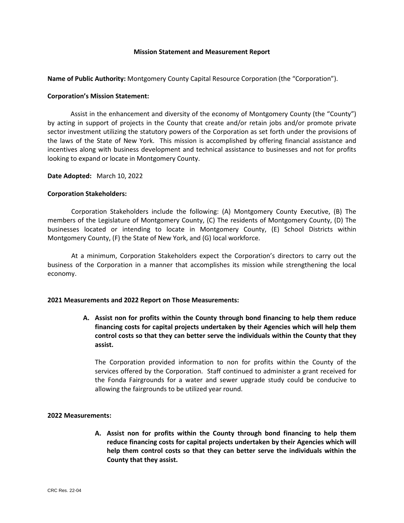#### **Mission Statement and Measurement Report**

**Name of Public Authority:** Montgomery County Capital Resource Corporation (the "Corporation").

# **Corporation's Mission Statement:**

Assist in the enhancement and diversity of the economy of Montgomery County (the "County") by acting in support of projects in the County that create and/or retain jobs and/or promote private sector investment utilizing the statutory powers of the Corporation as set forth under the provisions of the laws of the State of New York. This mission is accomplished by offering financial assistance and incentives along with business development and technical assistance to businesses and not for profits looking to expand or locate in Montgomery County.

**Date Adopted:** March 10, 2022

## **Corporation Stakeholders:**

Corporation Stakeholders include the following: (A) Montgomery County Executive, (B) The members of the Legislature of Montgomery County, (C) The residents of Montgomery County, (D) The businesses located or intending to locate in Montgomery County, (E) School Districts within Montgomery County, (F) the State of New York, and (G) local workforce.

At a minimum, Corporation Stakeholders expect the Corporation's directors to carry out the business of the Corporation in a manner that accomplishes its mission while strengthening the local economy.

## **2021 Measurements and 2022 Report on Those Measurements:**

**A. Assist non for profits within the County through bond financing to help them reduce financing costs for capital projects undertaken by their Agencies which will help them control costs so that they can better serve the individuals within the County that they assist.**

The Corporation provided information to non for profits within the County of the services offered by the Corporation. Staff continued to administer a grant received for the Fonda Fairgrounds for a water and sewer upgrade study could be conducive to allowing the fairgrounds to be utilized year round.

## **2022 Measurements:**

**A. Assist non for profits within the County through bond financing to help them reduce financing costs for capital projects undertaken by their Agencies which will help them control costs so that they can better serve the individuals within the County that they assist.**